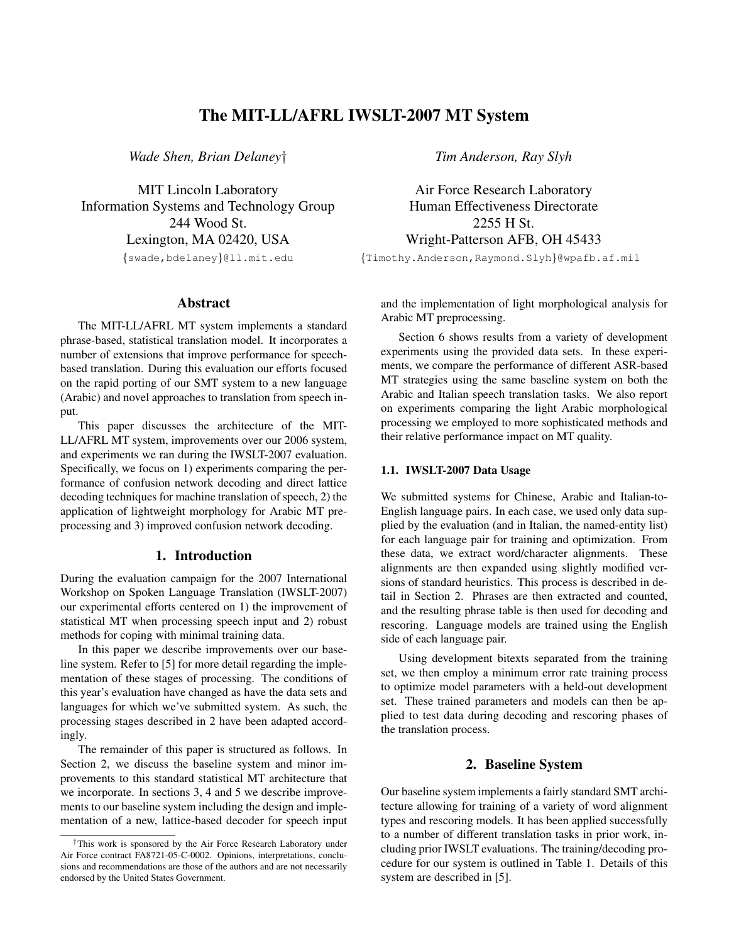# The MIT-LL/AFRL IWSLT-2007 MT System

*Wade Shen, Brian Delaney*†

MIT Lincoln Laboratory Information Systems and Technology Group 244 Wood St. Lexington, MA 02420, USA {swade,bdelaney}@ll.mit.edu

### Abstract

The MIT-LL/AFRL MT system implements a standard phrase-based, statistical translation model. It incorporates a number of extensions that improve performance for speechbased translation. During this evaluation our efforts focused on the rapid porting of our SMT system to a new language (Arabic) and novel approaches to translation from speech input.

This paper discusses the architecture of the MIT-LL/AFRL MT system, improvements over our 2006 system, and experiments we ran during the IWSLT-2007 evaluation. Specifically, we focus on 1) experiments comparing the performance of confusion network decoding and direct lattice decoding techniques for machine translation of speech, 2) the application of lightweight morphology for Arabic MT preprocessing and 3) improved confusion network decoding.

# 1. Introduction

During the evaluation campaign for the 2007 International Workshop on Spoken Language Translation (IWSLT-2007) our experimental efforts centered on 1) the improvement of statistical MT when processing speech input and 2) robust methods for coping with minimal training data.

In this paper we describe improvements over our baseline system. Refer to [5] for more detail regarding the implementation of these stages of processing. The conditions of this year's evaluation have changed as have the data sets and languages for which we've submitted system. As such, the processing stages described in 2 have been adapted accordingly.

The remainder of this paper is structured as follows. In Section 2, we discuss the baseline system and minor improvements to this standard statistical MT architecture that we incorporate. In sections 3, 4 and 5 we describe improvements to our baseline system including the design and implementation of a new, lattice-based decoder for speech input *Tim Anderson, Ray Slyh*

Air Force Research Laboratory Human Effectiveness Directorate 2255 H St. Wright-Patterson AFB, OH 45433 {Timothy.Anderson,Raymond.Slyh}@wpafb.af.mil

and the implementation of light morphological analysis for Arabic MT preprocessing.

Section 6 shows results from a variety of development experiments using the provided data sets. In these experiments, we compare the performance of different ASR-based MT strategies using the same baseline system on both the Arabic and Italian speech translation tasks. We also report on experiments comparing the light Arabic morphological processing we employed to more sophisticated methods and their relative performance impact on MT quality.

### 1.1. IWSLT-2007 Data Usage

We submitted systems for Chinese, Arabic and Italian-to-English language pairs. In each case, we used only data supplied by the evaluation (and in Italian, the named-entity list) for each language pair for training and optimization. From these data, we extract word/character alignments. These alignments are then expanded using slightly modified versions of standard heuristics. This process is described in detail in Section 2. Phrases are then extracted and counted, and the resulting phrase table is then used for decoding and rescoring. Language models are trained using the English side of each language pair.

Using development bitexts separated from the training set, we then employ a minimum error rate training process to optimize model parameters with a held-out development set. These trained parameters and models can then be applied to test data during decoding and rescoring phases of the translation process.

## 2. Baseline System

Our baseline system implements a fairly standard SMT architecture allowing for training of a variety of word alignment types and rescoring models. It has been applied successfully to a number of different translation tasks in prior work, including prior IWSLT evaluations. The training/decoding procedure for our system is outlined in Table 1. Details of this system are described in [5].

<sup>†</sup>This work is sponsored by the Air Force Research Laboratory under Air Force contract FA8721-05-C-0002. Opinions, interpretations, conclusions and recommendations are those of the authors and are not necessarily endorsed by the United States Government.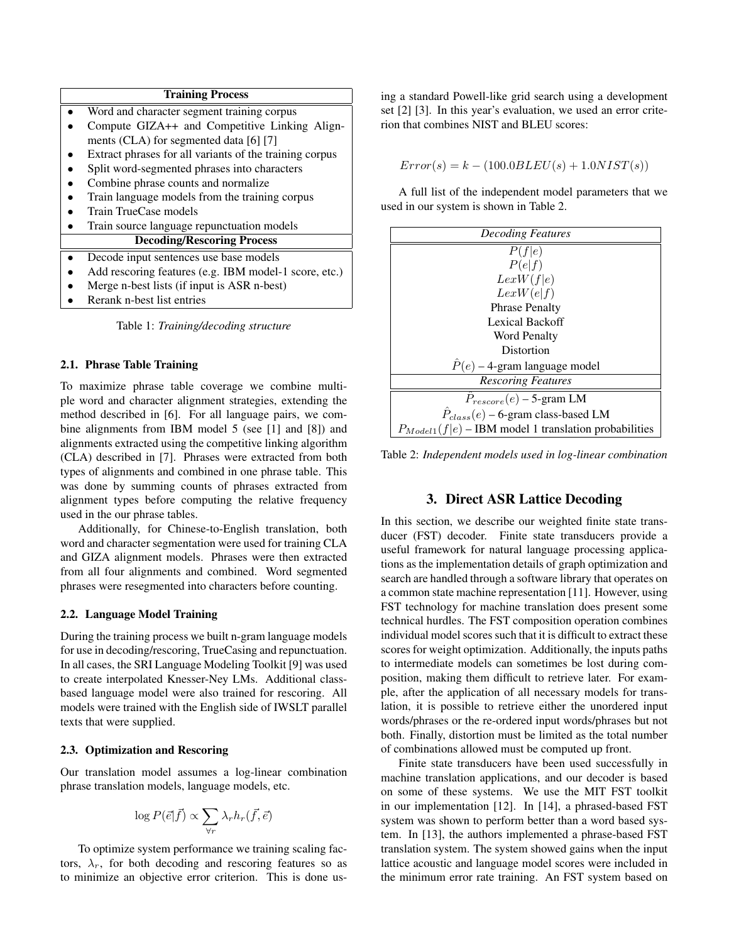#### Training Process

| Word and character segment training corpus              |
|---------------------------------------------------------|
| Compute GIZA++ and Competitive Linking Align-           |
| ments (CLA) for segmented data [6] [7]                  |
| Extract phrases for all variants of the training corpus |
| Split word-segmented phrases into characters            |
| Combine phrase counts and normalize                     |
| Train language models from the training corpus          |
| Train TrueCase models                                   |
| Train source language repunctuation models              |
| <b>Decoding/Rescoring Process</b>                       |
| Decode input sentences use base models                  |
| Add rescoring features (e.g. IBM model-1 score, etc.)   |
| Merge n-best lists (if input is ASR n-best)             |
| Rerank n-best list entries                              |
|                                                         |

Table 1: *Training/decoding structure*

#### 2.1. Phrase Table Training

To maximize phrase table coverage we combine multiple word and character alignment strategies, extending the method described in [6]. For all language pairs, we combine alignments from IBM model 5 (see [1] and [8]) and alignments extracted using the competitive linking algorithm (CLA) described in [7]. Phrases were extracted from both types of alignments and combined in one phrase table. This was done by summing counts of phrases extracted from alignment types before computing the relative frequency used in the our phrase tables.

Additionally, for Chinese-to-English translation, both word and character segmentation were used for training CLA and GIZA alignment models. Phrases were then extracted from all four alignments and combined. Word segmented phrases were resegmented into characters before counting.

#### 2.2. Language Model Training

During the training process we built n-gram language models for use in decoding/rescoring, TrueCasing and repunctuation. In all cases, the SRI Language Modeling Toolkit [9] was used to create interpolated Knesser-Ney LMs. Additional classbased language model were also trained for rescoring. All models were trained with the English side of IWSLT parallel texts that were supplied.

#### 2.3. Optimization and Rescoring

Our translation model assumes a log-linear combination phrase translation models, language models, etc.

$$
\log P(\vec{e}|\vec{f}) \propto \sum_{\forall r} \lambda_r h_r(\vec{f}, \vec{e})
$$

To optimize system performance we training scaling factors,  $\lambda_r$ , for both decoding and rescoring features so as to minimize an objective error criterion. This is done using a standard Powell-like grid search using a development set [2] [3]. In this year's evaluation, we used an error criterion that combines NIST and BLEU scores:

 $Error(s) = k - (100.0BLEU(s) + 1.0NIST(s))$ 

A full list of the independent model parameters that we used in our system is shown in Table 2.

| <b>Decoding Features</b>                                  |
|-----------------------------------------------------------|
| P(f e)                                                    |
| P(e f)                                                    |
| LexW(f e)                                                 |
| LexW(e f)                                                 |
| <b>Phrase Penalty</b>                                     |
| Lexical Backoff                                           |
| <b>Word Penalty</b>                                       |
| Distortion                                                |
| $P(e)$ – 4-gram language model                            |
| <b>Rescoring Features</b>                                 |
| $P_{rescore}(e)$ – 5-gram LM                              |
| $\dot{P}_{class}(e)$ – 6-gram class-based LM              |
| $P_{Model1}(f e)$ – IBM model 1 translation probabilities |

Table 2: *Independent models used in log-linear combination*

#### 3. Direct ASR Lattice Decoding

In this section, we describe our weighted finite state transducer (FST) decoder. Finite state transducers provide a useful framework for natural language processing applications as the implementation details of graph optimization and search are handled through a software library that operates on a common state machine representation [11]. However, using FST technology for machine translation does present some technical hurdles. The FST composition operation combines individual model scores such that it is difficult to extract these scores for weight optimization. Additionally, the inputs paths to intermediate models can sometimes be lost during composition, making them difficult to retrieve later. For example, after the application of all necessary models for translation, it is possible to retrieve either the unordered input words/phrases or the re-ordered input words/phrases but not both. Finally, distortion must be limited as the total number of combinations allowed must be computed up front.

Finite state transducers have been used successfully in machine translation applications, and our decoder is based on some of these systems. We use the MIT FST toolkit in our implementation [12]. In [14], a phrased-based FST system was shown to perform better than a word based system. In [13], the authors implemented a phrase-based FST translation system. The system showed gains when the input lattice acoustic and language model scores were included in the minimum error rate training. An FST system based on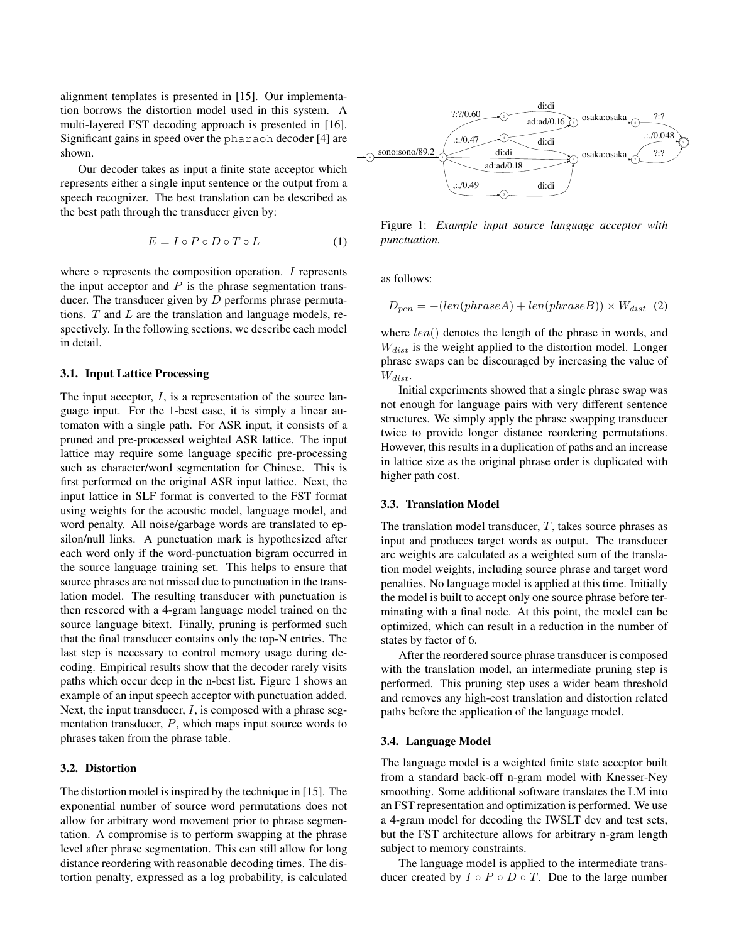alignment templates is presented in [15]. Our implementation borrows the distortion model used in this system. A multi-layered FST decoding approach is presented in [16]. Significant gains in speed over the pharaoh decoder [4] are shown.

Our decoder takes as input a finite state acceptor which represents either a single input sentence or the output from a speech recognizer. The best translation can be described as the best path through the transducer given by:

$$
E = I \circ P \circ D \circ T \circ L \tag{1}
$$

where  $\circ$  represents the composition operation. I represents the input acceptor and  $P$  is the phrase segmentation transducer. The transducer given by  $D$  performs phrase permutations.  $T$  and  $L$  are the translation and language models, respectively. In the following sections, we describe each model in detail.

### 3.1. Input Lattice Processing

The input acceptor,  $I$ , is a representation of the source language input. For the 1-best case, it is simply a linear automaton with a single path. For ASR input, it consists of a pruned and pre-processed weighted ASR lattice. The input lattice may require some language specific pre-processing such as character/word segmentation for Chinese. This is first performed on the original ASR input lattice. Next, the input lattice in SLF format is converted to the FST format using weights for the acoustic model, language model, and word penalty. All noise/garbage words are translated to epsilon/null links. A punctuation mark is hypothesized after each word only if the word-punctuation bigram occurred in the source language training set. This helps to ensure that source phrases are not missed due to punctuation in the translation model. The resulting transducer with punctuation is then rescored with a 4-gram language model trained on the source language bitext. Finally, pruning is performed such that the final transducer contains only the top-N entries. The last step is necessary to control memory usage during decoding. Empirical results show that the decoder rarely visits paths which occur deep in the n-best list. Figure 1 shows an example of an input speech acceptor with punctuation added. Next, the input transducer,  $I$ , is composed with a phrase segmentation transducer, P, which maps input source words to phrases taken from the phrase table.

## 3.2. Distortion

The distortion model is inspired by the technique in [15]. The exponential number of source word permutations does not allow for arbitrary word movement prior to phrase segmentation. A compromise is to perform swapping at the phrase level after phrase segmentation. This can still allow for long distance reordering with reasonable decoding times. The distortion penalty, expressed as a log probability, is calculated



Figure 1: *Example input source language acceptor with punctuation.*

as follows:

$$
D_{pen} = -(len(phrase A) + len(phrase B)) \times W_{dist} \quad (2)
$$

where  $len()$  denotes the length of the phrase in words, and  $W_{dist}$  is the weight applied to the distortion model. Longer phrase swaps can be discouraged by increasing the value of  $W_{dist}$ .

Initial experiments showed that a single phrase swap was not enough for language pairs with very different sentence structures. We simply apply the phrase swapping transducer twice to provide longer distance reordering permutations. However, this results in a duplication of paths and an increase in lattice size as the original phrase order is duplicated with higher path cost.

### 3.3. Translation Model

The translation model transducer,  $T$ , takes source phrases as input and produces target words as output. The transducer arc weights are calculated as a weighted sum of the translation model weights, including source phrase and target word penalties. No language model is applied at this time. Initially the model is built to accept only one source phrase before terminating with a final node. At this point, the model can be optimized, which can result in a reduction in the number of states by factor of 6.

After the reordered source phrase transducer is composed with the translation model, an intermediate pruning step is performed. This pruning step uses a wider beam threshold and removes any high-cost translation and distortion related paths before the application of the language model.

#### 3.4. Language Model

The language model is a weighted finite state acceptor built from a standard back-off n-gram model with Knesser-Ney smoothing. Some additional software translates the LM into an FST representation and optimization is performed. We use a 4-gram model for decoding the IWSLT dev and test sets, but the FST architecture allows for arbitrary n-gram length subject to memory constraints.

The language model is applied to the intermediate transducer created by  $I \circ P \circ D \circ T$ . Due to the large number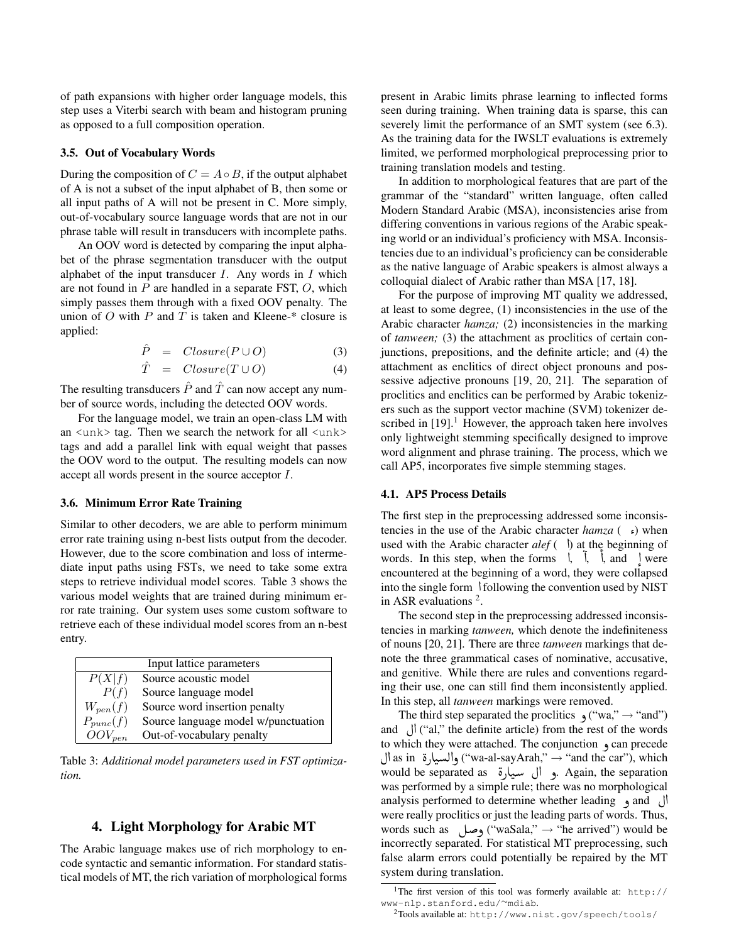of path expansions with higher order language models, this step uses a Viterbi search with beam and histogram pruning as opposed to a full composition operation.

#### 3.5. Out of Vocabulary Words

During the composition of  $C = A \circ B$ , if the output alphabet of A is not a subset of the input alphabet of B, then some or all input paths of A will not be present in C. More simply, out-of-vocabulary source language words that are not in our phrase table will result in transducers with incomplete paths.

An OOV word is detected by comparing the input alphabet of the phrase segmentation transducer with the output alphabet of the input transducer  $I$ . Any words in  $I$  which are not found in P are handled in a separate FST, O, which simply passes them through with a fixed OOV penalty. The union of  $O$  with  $P$  and  $T$  is taken and Kleene-\* closure is applied:

$$
\hat{P} = Closure(P \cup O) \tag{3}
$$

$$
\hat{T} = Closure(T \cup O) \tag{4}
$$

The resulting transducers  $\hat{P}$  and  $\hat{T}$  can now accept any number of source words, including the detected OOV words.

For the language model, we train an open-class LM with an <unk> tag. Then we search the network for all <unk> tags and add a parallel link with equal weight that passes the OOV word to the output. The resulting models can now accept all words present in the source acceptor I.

#### 3.6. Minimum Error Rate Training

Similar to other decoders, we are able to perform minimum error rate training using n-best lists output from the decoder. However, due to the score combination and loss of intermediate input paths using FSTs, we need to take some extra steps to retrieve individual model scores. Table 3 shows the various model weights that are trained during minimum error rate training. Our system uses some custom software to retrieve each of these individual model scores from an n-best entry.

|               | Input lattice parameters            |
|---------------|-------------------------------------|
| P(X f)        | Source acoustic model               |
| P(f)          | Source language model               |
| $W_{pen}(f)$  | Source word insertion penalty       |
| $P_{punc}(f)$ | Source language model w/punctuation |
| $OOV_{pen}$   | Out-of-vocabulary penalty           |

Table 3: *Additional model parameters used in FST optimization.*

#### 4. Light Morphology for Arabic MT

The Arabic language makes use of rich morphology to encode syntactic and semantic information. For standard statistical models of MT, the rich variation of morphological forms

present in Arabic limits phrase learning to inflected forms seen during training. When training data is sparse, this can severely limit the performance of an SMT system (see 6.3). As the training data for the IWSLT evaluations is extremely limited, we performed morphological preprocessing prior to training translation models and testing.

In addition to morphological features that are part of the grammar of the "standard" written language, often called Modern Standard Arabic (MSA), inconsistencies arise from differing conventions in various regions of the Arabic speaking world or an individual's proficiency with MSA. Inconsistencies due to an individual's proficiency can be considerable as the native language of Arabic speakers is almost always a colloquial dialect of Arabic rather than MSA [17, 18].

For the purpose of improving MT quality we addressed, at least to some degree, (1) inconsistencies in the use of the Arabic character *hamza;* (2) inconsistencies in the marking of *tanween;* (3) the attachment as proclitics of certain conjunctions, prepositions, and the definite article; and (4) the attachment as enclitics of direct object pronouns and possessive adjective pronouns [19, 20, 21]. The separation of proclitics and enclitics can be performed by Arabic tokenizers such as the support vector machine (SVM) tokenizer described in  $[19]$ .<sup>1</sup> However, the approach taken here involves only lightweight stemming specifically designed to improve word alignment and phrase training. The process, which we call AP5, incorporates five simple stemming stages.

#### 4.1. AP5 Process Details

The first step in the preprocessing addressed some inconsistencies in the use of the Arabic character *hamza* ( $\epsilon$ ) when used with the Arabic character  $\text{alef}$  ( $\theta$ ) at the beginning of words. In this step, when the forms  $\hat{a}$ ,  $\hat{b}$ , and  $\hat{c}$  were Į encountered at the beginning of a word, they were collapsed into the single form  $\delta$  following the convention used by NIST in ASR evaluations  $2$ .

The second step in the preprocessing addressed inconsistencies in marking *tanween,* which denote the indefiniteness of nouns [20, 21]. There are three *tanween* markings that denote the three grammatical cases of nominative, accusative, and genitive. While there are rules and conventions regarding their use, one can still find them inconsistently applied. In this step, all *tanween* markings were removed.

The third step separated the proclitics  $\gamma$ ("wa,"  $\rightarrow$ "and") and  $\left\langle \right\rangle$  ("al," the definite article) from the rest of the words to which they were attached. The conjunction  $\alpha$  can precede to which they were attached. The conjunction و can precede<br>Las in قال ("wa-al-sayArah," → "and the car"), which  $\overline{\phantom{a}}$ السيارة as in والسيارة ('wa-al-sayArah,'' → ''and the car''), which<br>• و ال سيارة Again, the separation , و ال  $\dot{\ }$ was performed by a simple rule; there was no morphological analysis performed to determine whether leading  $\theta$  and  $\theta$ were really proclitics or just the leading parts of words. Thus, words such as Éð ("waSala," <sup>→</sup> "he arrived") would be incorrectly separated. For statistical MT preprocessing, such false alarm errors could potentially be repaired by the MT system during translation.

<sup>&</sup>lt;sup>1</sup>The first version of this tool was formerly available at: http:// www-nlp.stanford.edu/∼mdiab.

<sup>2</sup>Tools available at: http://www.nist.gov/speech/tools/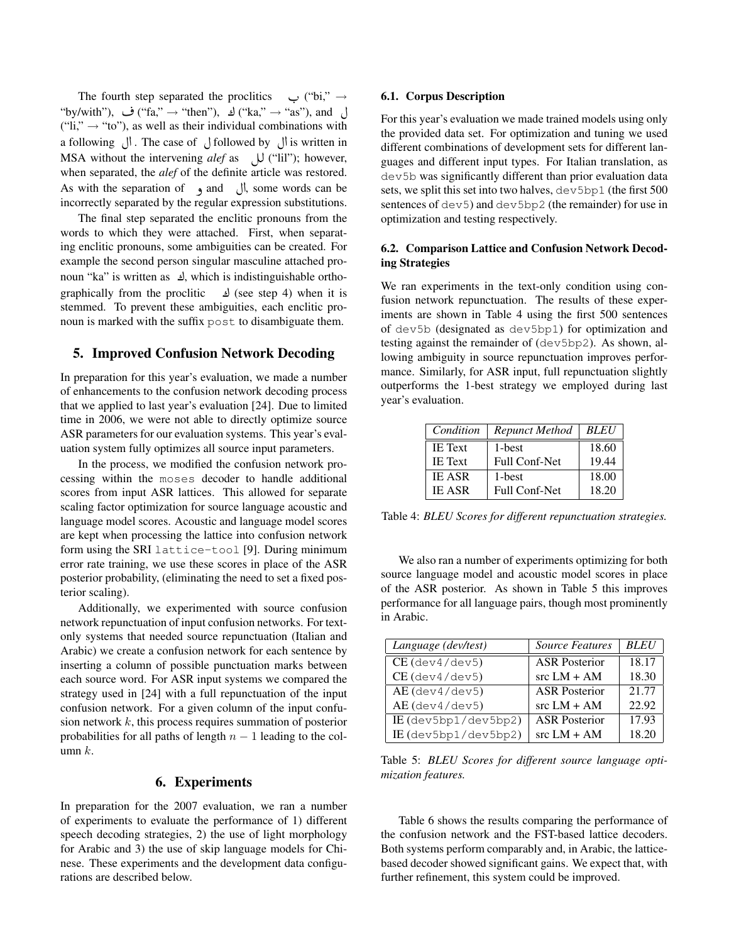The fourth step separated the proclitics  $\rightarrow$  ("bi,"  $\rightarrow$ "by/with"), ف ("fa," → "then"), ك ("ka," → "as"), and  $("li," \rightarrow "to"),$  as well as their individual combinations with a following  $\bigcup$ . The case of  $\bigcup$  followed by  $\bigcup$  is written in MSA without the intervening *alef* as  $\bigcup$  ("lil"); however, when separated, the *alef* of the definite article was restored. As with the separation of  $\bullet$  and  $\bullet$  l), some words can be incorrectly separated by the regular expression substitutions.

The final step separated the enclitic pronouns from the words to which they were attached. First, when separating enclitic pronouns, some ambiguities can be created. For example the second person singular masculine attached pronoun "ka" is written as  $\Delta$ , which is indistinguishable orthographically from the proclitic  $\leq$  (see step 4) when it is stemmed. To prevent these ambiguities, each enclitic pronoun is marked with the suffix post to disambiguate them.

### 5. Improved Confusion Network Decoding

In preparation for this year's evaluation, we made a number of enhancements to the confusion network decoding process that we applied to last year's evaluation [24]. Due to limited time in 2006, we were not able to directly optimize source ASR parameters for our evaluation systems. This year's evaluation system fully optimizes all source input parameters.

In the process, we modified the confusion network processing within the moses decoder to handle additional scores from input ASR lattices. This allowed for separate scaling factor optimization for source language acoustic and language model scores. Acoustic and language model scores are kept when processing the lattice into confusion network form using the SRI lattice-tool [9]. During minimum error rate training, we use these scores in place of the ASR posterior probability, (eliminating the need to set a fixed posterior scaling).

Additionally, we experimented with source confusion network repunctuation of input confusion networks. For textonly systems that needed source repunctuation (Italian and Arabic) we create a confusion network for each sentence by inserting a column of possible punctuation marks between each source word. For ASR input systems we compared the strategy used in [24] with a full repunctuation of the input confusion network. For a given column of the input confusion network  $k$ , this process requires summation of posterior probabilities for all paths of length  $n - 1$  leading to the column  $k$ .

### 6. Experiments

In preparation for the 2007 evaluation, we ran a number of experiments to evaluate the performance of 1) different speech decoding strategies, 2) the use of light morphology for Arabic and 3) the use of skip language models for Chinese. These experiments and the development data configurations are described below.

#### 6.1. Corpus Description

For this year's evaluation we made trained models using only the provided data set. For optimization and tuning we used different combinations of development sets for different languages and different input types. For Italian translation, as dev5b was significantly different than prior evaluation data sets, we split this set into two halves, dev5bp1 (the first 500 sentences of dev<sub>5</sub>) and dev<sub>5bp2</sub> (the remainder) for use in optimization and testing respectively.

### 6.2. Comparison Lattice and Confusion Network Decoding Strategies

We ran experiments in the text-only condition using confusion network repunctuation. The results of these experiments are shown in Table 4 using the first 500 sentences of dev5b (designated as dev5bp1) for optimization and testing against the remainder of (dev5bp2). As shown, allowing ambiguity in source repunctuation improves performance. Similarly, for ASR input, full repunctuation slightly outperforms the 1-best strategy we employed during last year's evaluation.

| Condition      | <b>Repunct Method</b> | <b>BLEU</b> |
|----------------|-----------------------|-------------|
| <b>IE</b> Text | 1-best                | 18.60       |
| <b>IE</b> Text | <b>Full Conf-Net</b>  | 19.44       |
| <b>IE ASR</b>  | 1-best                | 18.00       |
| <b>IE ASR</b>  | Full Conf-Net         | 18.20       |

Table 4: *BLEU Scores for different repunctuation strategies.*

We also ran a number of experiments optimizing for both source language model and acoustic model scores in place of the ASR posterior. As shown in Table 5 this improves performance for all language pairs, though most prominently in Arabic.

| Language (dev/test)        | <b>Source Features</b> | <b>BLEU</b> |
|----------------------------|------------------------|-------------|
| $CE$ (dev $4$ /dev $5$ )   | <b>ASR</b> Posterior   | 18.17       |
| $CE$ (dev $4$ /dev $5$ )   | $src LM + AM$          | 18.30       |
| $AE$ (dev $4$ /dev $5$ )   | <b>ASR Posterior</b>   | 21.77       |
| $AE$ (dev $4$ /dev $5$ )   | $src LM + AM$          | 22.92       |
| $IE$ (dev5bp $1$ /dev5bp2) | <b>ASR Posterior</b>   | 17.93       |
| IE (dev5bp1/dev5bp2)       | $src LM + AM$          | 18.20       |

Table 5: *BLEU Scores for different source language optimization features.*

Table 6 shows the results comparing the performance of the confusion network and the FST-based lattice decoders. Both systems perform comparably and, in Arabic, the latticebased decoder showed significant gains. We expect that, with further refinement, this system could be improved.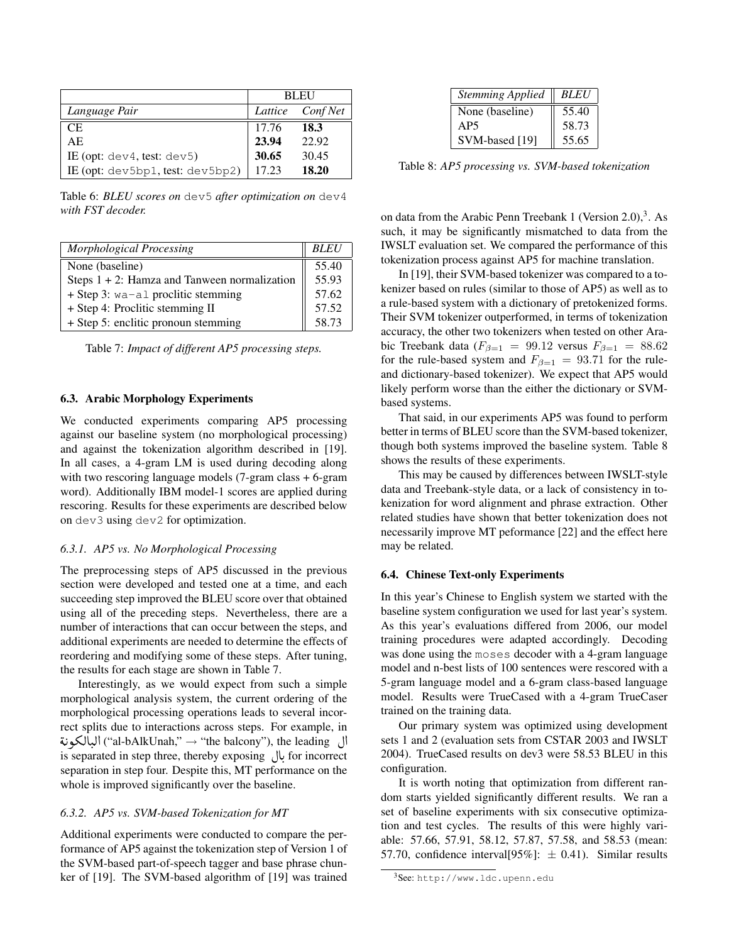|                                        | <b>BLEU</b> |                  |  |
|----------------------------------------|-------------|------------------|--|
| Language Pair                          |             | Lattice Conf Net |  |
| <b>CE</b>                              | 17.76       | 18.3             |  |
| AE                                     | 23.94       | 22.92            |  |
| IE (opt: $dev4$ , test: $dev5$ )       | 30.65       | 30.45            |  |
| IE (opt: $dev5bp1$ , test: $dev5bp2$ ) | 17.23       | 18.20            |  |

Table 6: *BLEU scores on* dev5 *after optimization on* dev4 *with FST decoder.*

| Morphological Processing                        | <b>BLEU</b> |
|-------------------------------------------------|-------------|
| None (baseline)                                 | 55.40       |
| Steps $1 + 2$ : Hamza and Tanween normalization | 55.93       |
| $+$ Step 3: wa-al proclitic stemming            | 57.62       |
| + Step 4: Proclitic stemming II                 | 57.52       |
| + Step 5: enclitic pronoun stemming             | 58.73       |

Table 7: *Impact of different AP5 processing steps.*

#### 6.3. Arabic Morphology Experiments

We conducted experiments comparing AP5 processing against our baseline system (no morphological processing) and against the tokenization algorithm described in [19]. In all cases, a 4-gram LM is used during decoding along with two rescoring language models (7-gram class + 6-gram word). Additionally IBM model-1 scores are applied during rescoring. Results for these experiments are described below on dev3 using dev2 for optimization.

#### *6.3.1. AP5 vs. No Morphological Processing*

The preprocessing steps of AP5 discussed in the previous section were developed and tested one at a time, and each succeeding step improved the BLEU score over that obtained using all of the preceding steps. Nevertheless, there are a number of interactions that can occur between the steps, and additional experiments are needed to determine the effects of reordering and modifying some of these steps. After tuning, the results for each stage are shown in Table 7.

Interestingly, as we would expect from such a simple morphological analysis system, the current ordering of the morphological processing operations leads to several incorrect splits due to interactions across steps. For example, in r<br>.. feet spins due to interactions across steps. 1 of example, in<br>البالكونة ("al-bAlkUnah," → "the balcony"), the leading ֖֖֦֦֧֦֪֦֖֪֦֖֪֦֪֦֪֪֦֪֪֦֪֪֦֪֪֦֖֚֚֚֚֚֚֬֝֝֝֝֝֝֝֝֝֝֝ . is separated in step three, thereby exposing ÈAK for incorrect . separation in step four. Despite this, MT performance on the whole is improved significantly over the baseline.

#### *6.3.2. AP5 vs. SVM-based Tokenization for MT*

Additional experiments were conducted to compare the performance of AP5 against the tokenization step of Version 1 of the SVM-based part-of-speech tagger and base phrase chunker of [19]. The SVM-based algorithm of [19] was trained

| <b>Stemming Applied</b> | <b>BLEU</b> |
|-------------------------|-------------|
| None (baseline)         | 55.40       |
| AP <sub>5</sub>         | 58.73       |
| SVM-based [19]          | 55.65       |

Table 8: *AP5 processing vs. SVM-based tokenization*

on data from the Arabic Penn Treebank 1 (Version  $2.0$ ),<sup>3</sup>. As such, it may be significantly mismatched to data from the IWSLT evaluation set. We compared the performance of this tokenization process against AP5 for machine translation.

In [19], their SVM-based tokenizer was compared to a tokenizer based on rules (similar to those of AP5) as well as to a rule-based system with a dictionary of pretokenized forms. Their SVM tokenizer outperformed, in terms of tokenization accuracy, the other two tokenizers when tested on other Arabic Treebank data ( $F_{\beta=1} = 99.12$  versus  $F_{\beta=1} = 88.62$ for the rule-based system and  $F_{\beta=1} = 93.71$  for the ruleand dictionary-based tokenizer). We expect that AP5 would likely perform worse than the either the dictionary or SVMbased systems.

That said, in our experiments AP5 was found to perform better in terms of BLEU score than the SVM-based tokenizer, though both systems improved the baseline system. Table 8 shows the results of these experiments.

This may be caused by differences between IWSLT-style data and Treebank-style data, or a lack of consistency in tokenization for word alignment and phrase extraction. Other related studies have shown that better tokenization does not necessarily improve MT peformance [22] and the effect here may be related.

#### 6.4. Chinese Text-only Experiments

In this year's Chinese to English system we started with the baseline system configuration we used for last year's system. As this year's evaluations differed from 2006, our model training procedures were adapted accordingly. Decoding was done using the moses decoder with a 4-gram language model and n-best lists of 100 sentences were rescored with a 5-gram language model and a 6-gram class-based language model. Results were TrueCased with a 4-gram TrueCaser trained on the training data.

Our primary system was optimized using development sets 1 and 2 (evaluation sets from CSTAR 2003 and IWSLT 2004). TrueCased results on dev3 were 58.53 BLEU in this configuration.

It is worth noting that optimization from different random starts yielded significantly different results. We ran a set of baseline experiments with six consecutive optimization and test cycles. The results of this were highly variable: 57.66, 57.91, 58.12, 57.87, 57.58, and 58.53 (mean: 57.70, confidence interval [95%]:  $\pm$  0.41). Similar results

<sup>3</sup>See: http://www.ldc.upenn.edu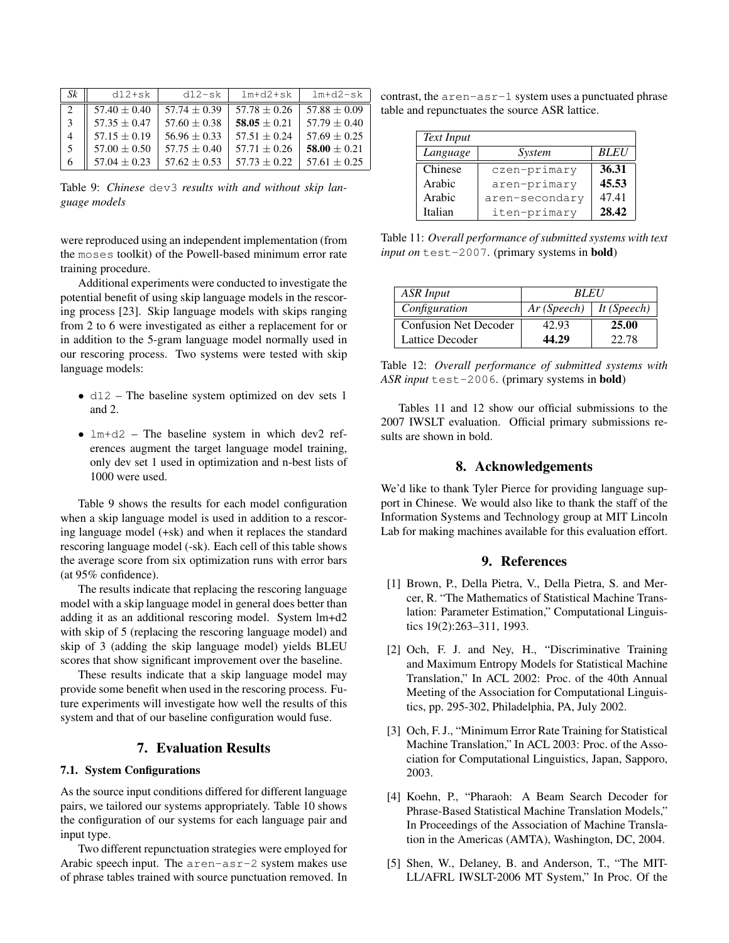| S k            | $d12 + sk$       | $d12-sk$       | $lm+d2+sk$       | $lm+d2-sk$     |
|----------------|------------------|----------------|------------------|----------------|
|                | $57.40 + 0.40$   | $57.74 + 0.39$ | $57.78 + 0.26$   | $57.88 + 0.09$ |
| - 3            | $57.35 + 0.47$   | $57.60 + 0.38$ | 58.05 $\pm$ 0.21 | $57.79 + 0.40$ |
| $\overline{4}$ | $57.15 + 0.19$   | $56.96 + 0.33$ | $57.51 + 0.24$   | $57.69 + 0.25$ |
| - 5            | $57.00 \pm 0.50$ | $57.75 + 0.40$ | $57.71 + 0.26$   | $58.00 + 0.21$ |
| -6             | $57.04 \pm 0.23$ | $57.62 + 0.53$ | $57.73 + 0.22$   | $57.61 + 0.25$ |

Table 9: *Chinese* dev3 *results with and without skip language models*

were reproduced using an independent implementation (from the moses toolkit) of the Powell-based minimum error rate training procedure.

Additional experiments were conducted to investigate the potential benefit of using skip language models in the rescoring process [23]. Skip language models with skips ranging from 2 to 6 were investigated as either a replacement for or in addition to the 5-gram language model normally used in our rescoring process. Two systems were tested with skip language models:

- d12 The baseline system optimized on dev sets 1 and 2.
- $lm+d2$  The baseline system in which dev2 references augment the target language model training, only dev set 1 used in optimization and n-best lists of 1000 were used.

Table 9 shows the results for each model configuration when a skip language model is used in addition to a rescoring language model (+sk) and when it replaces the standard rescoring language model (-sk). Each cell of this table shows the average score from six optimization runs with error bars (at 95% confidence).

The results indicate that replacing the rescoring language model with a skip language model in general does better than adding it as an additional rescoring model. System lm+d2 with skip of 5 (replacing the rescoring language model) and skip of 3 (adding the skip language model) yields BLEU scores that show significant improvement over the baseline.

These results indicate that a skip language model may provide some benefit when used in the rescoring process. Future experiments will investigate how well the results of this system and that of our baseline configuration would fuse.

# 7. Evaluation Results

### 7.1. System Configurations

As the source input conditions differed for different language pairs, we tailored our systems appropriately. Table 10 shows the configuration of our systems for each language pair and input type.

Two different repunctuation strategies were employed for Arabic speech input. The aren-asr-2 system makes use of phrase tables trained with source punctuation removed. In

contrast, the aren-asr-1 system uses a punctuated phrase table and repunctuates the source ASR lattice.

| Text Input |                |             |
|------------|----------------|-------------|
| Language   | System         | <b>BLEU</b> |
| Chinese    | czen-primary   | 36.31       |
| Arabic     | aren-primary   | 45.53       |
| Arabic     | aren-secondary | 47.41       |
| Italian    | iten-primary   | 28.42       |

Table 11: *Overall performance of submitted systems with text input on* test-2007. (primary systems in bold)

| <b>ASR</b> Input             | <i><b>BLEU</b></i>         |       |
|------------------------------|----------------------------|-------|
| Configuration                | $Ar(Speech)$   It (Speech) |       |
| <b>Confusion Net Decoder</b> | 42.93                      | 25.00 |
| Lattice Decoder              | 44.29                      | 22.78 |

Table 12: *Overall performance of submitted systems with ASR input* test-2006. (primary systems in bold)

Tables 11 and 12 show our official submissions to the 2007 IWSLT evaluation. Official primary submissions results are shown in bold.

### 8. Acknowledgements

We'd like to thank Tyler Pierce for providing language support in Chinese. We would also like to thank the staff of the Information Systems and Technology group at MIT Lincoln Lab for making machines available for this evaluation effort.

### 9. References

- [1] Brown, P., Della Pietra, V., Della Pietra, S. and Mercer, R. "The Mathematics of Statistical Machine Translation: Parameter Estimation," Computational Linguistics 19(2):263–311, 1993.
- [2] Och, F. J. and Ney, H., "Discriminative Training and Maximum Entropy Models for Statistical Machine Translation," In ACL 2002: Proc. of the 40th Annual Meeting of the Association for Computational Linguistics, pp. 295-302, Philadelphia, PA, July 2002.
- [3] Och, F. J., "Minimum Error Rate Training for Statistical Machine Translation," In ACL 2003: Proc. of the Association for Computational Linguistics, Japan, Sapporo, 2003.
- [4] Koehn, P., "Pharaoh: A Beam Search Decoder for Phrase-Based Statistical Machine Translation Models," In Proceedings of the Association of Machine Translation in the Americas (AMTA), Washington, DC, 2004.
- [5] Shen, W., Delaney, B. and Anderson, T., "The MIT-LL/AFRL IWSLT-2006 MT System," In Proc. Of the